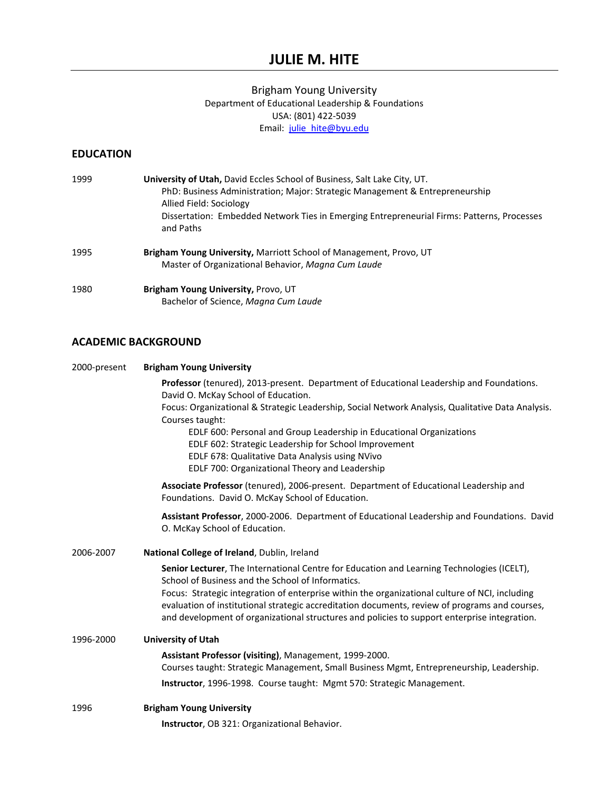# **JULIE M. HITE**

### Brigham Young University Department of Educational Leadership & Foundations USA: (801) 422‐5039 Email: julie\_hite@byu.edu

## **EDUCATION**

| 1999 | <b>University of Utah, David Eccles School of Business, Salt Lake City, UT.</b><br>PhD: Business Administration; Major: Strategic Management & Entrepreneurship<br>Allied Field: Sociology<br>Dissertation: Embedded Network Ties in Emerging Entrepreneurial Firms: Patterns, Processes |
|------|------------------------------------------------------------------------------------------------------------------------------------------------------------------------------------------------------------------------------------------------------------------------------------------|
|      | and Paths                                                                                                                                                                                                                                                                                |
| 1995 | Brigham Young University, Marriott School of Management, Provo, UT<br>Master of Organizational Behavior, Magna Cum Laude                                                                                                                                                                 |
| 1980 | Brigham Young University, Provo, UT<br>Bachelor of Science, Magna Cum Laude                                                                                                                                                                                                              |

# **ACADEMIC BACKGROUND**

| 2000-present | <b>Brigham Young University</b>                                                                                                                                                                                                                                                                  |
|--------------|--------------------------------------------------------------------------------------------------------------------------------------------------------------------------------------------------------------------------------------------------------------------------------------------------|
|              | Professor (tenured), 2013-present. Department of Educational Leadership and Foundations.<br>David O. McKay School of Education.                                                                                                                                                                  |
|              | Focus: Organizational & Strategic Leadership, Social Network Analysis, Qualitative Data Analysis.<br>Courses taught:                                                                                                                                                                             |
|              | EDLF 600: Personal and Group Leadership in Educational Organizations<br>EDLF 602: Strategic Leadership for School Improvement                                                                                                                                                                    |
|              | EDLF 678: Qualitative Data Analysis using NVivo<br>EDLF 700: Organizational Theory and Leadership                                                                                                                                                                                                |
|              | Associate Professor (tenured), 2006-present. Department of Educational Leadership and<br>Foundations. David O. McKay School of Education.                                                                                                                                                        |
|              | Assistant Professor, 2000-2006. Department of Educational Leadership and Foundations. David<br>O. McKay School of Education.                                                                                                                                                                     |
| 2006-2007    | National College of Ireland, Dublin, Ireland                                                                                                                                                                                                                                                     |
|              | Senior Lecturer, The International Centre for Education and Learning Technologies (ICELT),<br>School of Business and the School of Informatics.                                                                                                                                                  |
|              | Focus: Strategic integration of enterprise within the organizational culture of NCI, including<br>evaluation of institutional strategic accreditation documents, review of programs and courses,<br>and development of organizational structures and policies to support enterprise integration. |
| 1996-2000    | <b>University of Utah</b>                                                                                                                                                                                                                                                                        |
|              | Assistant Professor (visiting), Management, 1999-2000.                                                                                                                                                                                                                                           |
|              | Courses taught: Strategic Management, Small Business Mgmt, Entrepreneurship, Leadership.                                                                                                                                                                                                         |
|              | Instructor, 1996-1998. Course taught: Mgmt 570: Strategic Management.                                                                                                                                                                                                                            |
| 1996         | <b>Brigham Young University</b>                                                                                                                                                                                                                                                                  |
|              | Instructor, OB 321: Organizational Behavior.                                                                                                                                                                                                                                                     |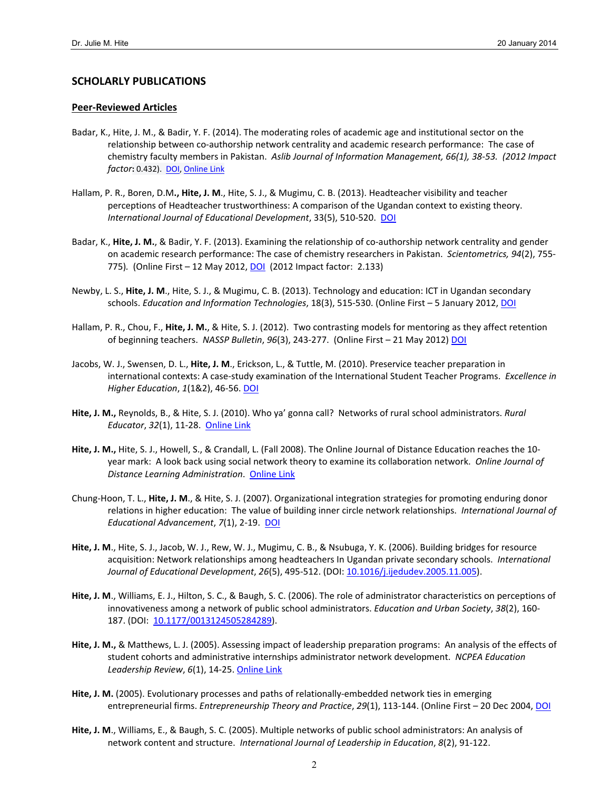### **SCHOLARLY PUBLICATIONS**

#### **Peer‐Reviewed Articles**

- Badar, K., Hite, J. M., & Badir, Y. F. (2014). The moderating roles of academic age and institutional sector on the relationship between co‐authorship network centrality and academic research performance: The case of chemistry faculty members in Pakistan. *Aslib Journal of Information Management, 66(1), 38‐53. (2012 Impact factor*: 0.432). DOI, Online Link
- Hallam, P. R., Boren, D.M**., Hite, J. M**., Hite, S. J., & Mugimu, C. B. (2013). Headteacher visibility and teacher perceptions of Headteacher trustworthiness: A comparison of the Ugandan context to existing theory. *International Journal of Educational Development*, 33(5), 510‐520. DOI
- Badar, K., Hite, J. M., & Badir, Y. F. (2013). Examining the relationship of co-authorship network centrality and gender on academic research performance: The case of chemistry researchers in Pakistan. *Scientometrics, 94*(2), 755‐ 775)*.* (Online First – 12 May 2012, DOI (2012 Impact factor: 2.133)
- Newby, L. S., **Hite, J. M**., Hite, S. J., & Mugimu, C. B. (2013). Technology and education: ICT in Ugandan secondary schools. *Education and Information Technologies*, 18(3), 515‐530. (Online First – 5 January 2012, DOI
- Hallam, P. R., Chou, F., **Hite, J. M.**, & Hite, S. J. (2012). Two contrasting models for mentoring as they affect retention of beginning teachers. *NASSP Bulletin*, *96*(3), 243‐277. (Online First – 21 May 2012) DOI
- Jacobs, W. J., Swensen, D. L., **Hite, J. M**., Erickson, L., & Tuttle, M. (2010). Preservice teacher preparation in international contexts: A case‐study examination of the International Student Teacher Programs. *Excellence in Higher Education*, *1*(1&2), 46‐56. DOI
- **Hite, J. M.,** Reynolds, B., & Hite, S. J. (2010). Who ya' gonna call? Networks of rural school administrators. *Rural Educator*, *32*(1), 11‐28. Online Link
- **Hite, J. M.,** Hite, S. J., Howell, S., & Crandall, L. (Fall 2008). The Online Journal of Distance Education reaches the 10‐ year mark: A look back using social network theory to examine its collaboration network. *Online Journal of Distance Learning Administration*. Online Link
- Chung‐Hoon, T. L., **Hite, J. M**., & Hite, S. J. (2007). Organizational integration strategies for promoting enduring donor relations in higher education: The value of building inner circle network relationships. *International Journal of Educational Advancement*, *7*(1), 2‐19. DOI
- **Hite, J. M**., Hite, S. J., Jacob, W. J., Rew, W. J., Mugimu, C. B., & Nsubuga, Y. K. (2006). Building bridges for resource acquisition: Network relationships among headteachers In Ugandan private secondary schools. *International Journal of Educational Development*, *26*(5), 495‐512. (DOI: 10.1016/j.ijedudev.2005.11.005).
- **Hite, J. M**., Williams, E. J., Hilton, S. C., & Baugh, S. C. (2006). The role of administrator characteristics on perceptions of innovativeness among a network of public school administrators. *Education and Urban Society*, *38*(2), 160‐ 187. (DOI: 10.1177/0013124505284289).
- **Hite, J. M.,** & Matthews, L. J. (2005). Assessing impact of leadership preparation programs: An analysis of the effects of student cohorts and administrative internships administrator network development. *NCPEA Education Leadership Review*, *6*(1), 14‐25. Online Link
- **Hite, J. M.** (2005). Evolutionary processes and paths of relationally‐embedded network ties in emerging entrepreneurial firms. *Entrepreneurship Theory and Practice*, *29*(1), 113‐144. (Online First – 20 Dec 2004, DOI
- **Hite, J. M**., Williams, E., & Baugh, S. C. (2005). Multiple networks of public school administrators: An analysis of network content and structure. *International Journal of Leadership in Education*, *8*(2), 91‐122.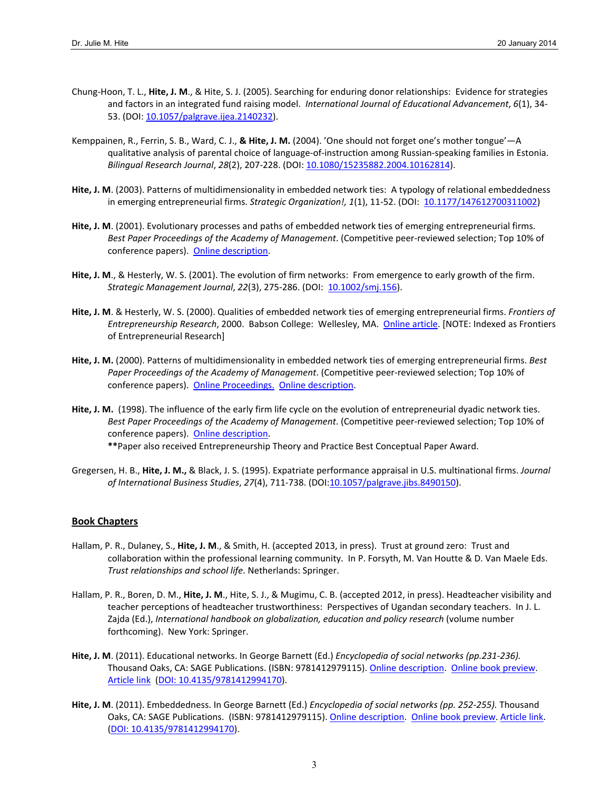- Chung‐Hoon, T. L., **Hite, J. M**., & Hite, S. J. (2005). Searching for enduring donor relationships: Evidence for strategies and factors in an integrated fund raising model. *International Journal of Educational Advancement*, *6*(1), 34‐ 53. (DOI: 10.1057/palgrave.ijea.2140232).
- Kemppainen, R., Ferrin, S. B., Ward, C. J., **& Hite, J. M.** (2004). 'One should not forget one's mother tongue'—A qualitative analysis of parental choice of language‐of‐instruction among Russian‐speaking families in Estonia. *Bilingual Research Journal*, *28*(2), 207‐228. (DOI: 10.1080/15235882.2004.10162814).
- **Hite, J. M**. (2003). Patterns of multidimensionality in embedded network ties: A typology of relational embeddedness in emerging entrepreneurial firms. *Strategic Organization!, 1*(1), 11‐52. (DOI: 10.1177/147612700311002)
- **Hite, J. M**. (2001). Evolutionary processes and paths of embedded network ties of emerging entrepreneurial firms. *Best Paper Proceedings of the Academy of Management*. (Competitive peer‐reviewed selection; Top 10% of conference papers). Online description.
- **Hite, J. M**., & Hesterly, W. S. (2001). The evolution of firm networks: From emergence to early growth of the firm. *Strategic Management Journal*, *22*(3), 275‐286. (DOI: 10.1002/smj.156).
- **Hite, J. M**. & Hesterly, W. S. (2000). Qualities of embedded network ties of emerging entrepreneurial firms. *Frontiers of Entrepreneurship Research*, 2000. Babson College: Wellesley, MA. Online article. [NOTE: Indexed as Frontiers of Entrepreneurial Research]
- **Hite, J. M.** (2000). Patterns of multidimensionality in embedded network ties of emerging entrepreneurial firms. *Best Paper Proceedings of the Academy of Management*. (Competitive peer‐reviewed selection; Top 10% of conference papers). Online Proceedings. Online description.
- **Hite, J. M.** (1998). The influence of the early firm life cycle on the evolution of entrepreneurial dyadic network ties. *Best Paper Proceedings of the Academy of Management*. (Competitive peer‐reviewed selection; Top 10% of conference papers). Online description.
	- **\*\***Paper also received Entrepreneurship Theory and Practice Best Conceptual Paper Award.
- Gregersen, H. B., **Hite, J. M.,** & Black, J. S. (1995). Expatriate performance appraisal in U.S. multinational firms. *Journal of International Business Studies*, *27*(4), 711‐738. (DOI:10.1057/palgrave.jibs.8490150).

#### **Book Chapters**

- Hallam, P. R., Dulaney, S., **Hite, J. M**., & Smith, H. (accepted 2013, in press). Trust at ground zero: Trust and collaboration within the professional learning community. In P. Forsyth, M. Van Houtte & D. Van Maele Eds. *Trust relationships and school life*. Netherlands: Springer.
- Hallam, P. R., Boren, D. M., **Hite, J. M**., Hite, S. J., & Mugimu, C. B. (accepted 2012, in press). Headteacher visibility and teacher perceptions of headteacher trustworthiness: Perspectives of Ugandan secondary teachers. In J. L. Zajda (Ed.), *International handbook on globalization, education and policy research* (volume number forthcoming). New York: Springer.
- **Hite, J. M**. (2011). Educational networks. In George Barnett (Ed.) *Encyclopedia of social networks (pp.231‐236).* Thousand Oaks, CA: SAGE Publications. (ISBN: 9781412979115). Online description. Online book preview. Article link (DOI: 10.4135/9781412994170).
- **Hite, J. M**. (2011). Embeddedness. In George Barnett (Ed.) *Encyclopedia of social networks (pp. 252‐255).* Thousand Oaks, CA: SAGE Publications. (ISBN: 9781412979115). Online description. Online book preview. Article link. (DOI: 10.4135/9781412994170).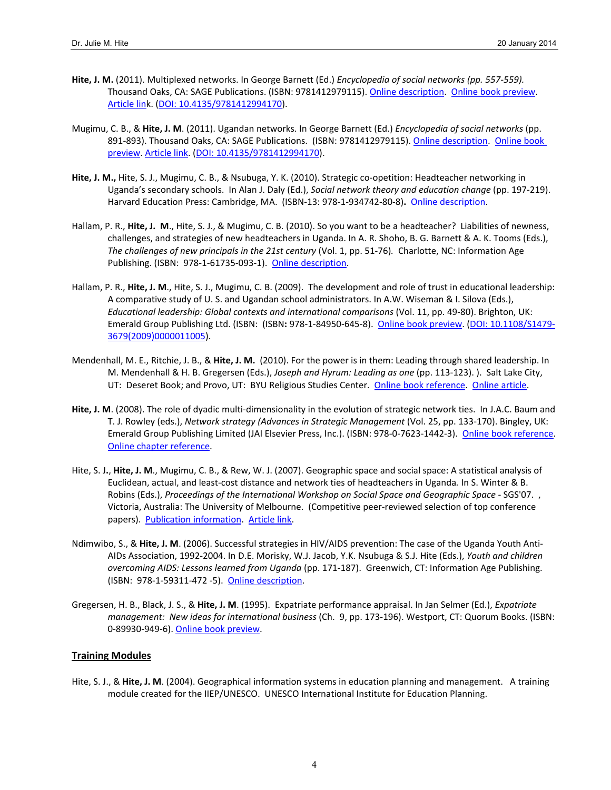- **Hite, J. M.** (2011). Multiplexed networks. In George Barnett (Ed.) *Encyclopedia of social networks (pp. 557‐559).* Thousand Oaks, CA: SAGE Publications. (ISBN: 9781412979115). Online description. Online book preview. Article link. (DOI: 10.4135/9781412994170).
- Mugimu, C. B., & **Hite, J. M**. (2011). Ugandan networks. In George Barnett (Ed.) *Encyclopedia of social networks* (pp. 891‐893). Thousand Oaks, CA: SAGE Publications. (ISBN: 9781412979115). Online description. Online book preview. Article link. (DOI: 10.4135/9781412994170).
- Hite, J. M., Hite, S. J., Mugimu, C. B., & Nsubuga, Y. K. (2010). Strategic co-opetition: Headteacher networking in Uganda's secondary schools. In Alan J. Daly (Ed.), *Social network theory and education change* (pp. 197‐219). Harvard Education Press: Cambridge, MA. (ISBN‐13: 978‐1‐934742‐80‐8)**.** Online description.
- Hallam, P. R., **Hite, J. M**., Hite, S. J., & Mugimu, C. B. (2010). So you want to be a headteacher? Liabilities of newness, challenges, and strategies of new headteachers in Uganda. In A. R. Shoho, B. G. Barnett & A. K. Tooms (Eds.), *The challenges of new principals in the 21st century* (Vol. 1, pp. 51‐76)*.* Charlotte, NC: Information Age Publishing. (ISBN: 978‐1‐61735‐093‐1). Online description.
- Hallam, P. R., **Hite, J. M**., Hite, S. J., Mugimu, C. B. (2009). The development and role of trust in educational leadership: A comparative study of U. S. and Ugandan school administrators. In A.W. Wiseman & I. Silova (Eds.), *Educational leadership: Global contexts and international comparisons* (Vol. 11, pp. 49‐80). Brighton, UK: Emerald Group Publishing Ltd. (ISBN: (ISBN**:** 978‐1‐84950‐645‐8). Online book preview. (DOI: 10.1108/S1479‐ 3679(2009)0000011005).
- Mendenhall, M. E., Ritchie, J. B., & **Hite, J. M.** (2010). For the power is in them: Leading through shared leadership. In M. Mendenhall & H. B. Gregersen (Eds.), *Joseph and Hyrum: Leading as one* (pp. 113‐123). ). Salt Lake City, UT: Deseret Book; and Provo, UT: BYU Religious Studies Center. Online book reference. Online article.
- **Hite, J. M**. (2008). The role of dyadic multi‐dimensionality in the evolution of strategic network ties. In J.A.C. Baum and T. J. Rowley (eds.), *Network strategy (Advances in Strategic Management* (Vol. 25, pp. 133‐170). Bingley, UK: Emerald Group Publishing Limited (JAI Elsevier Press, Inc.). (ISBN: 978-0-7623-1442-3). Online book reference. Online chapter reference.
- Hite, S. J**.**, **Hite, J. M**., Mugimu, C. B., & Rew, W. J. (2007). Geographic space and social space: A statistical analysis of Euclidean, actual, and least‐cost distance and network ties of headteachers in Uganda*.* In S. Winter & B. Robins (Eds.), *Proceedings of the International Workshop on Social Space and Geographic Space* ‐ SGS'07. , Victoria, Australia: The University of Melbourne. (Competitive peer‐reviewed selection of top conference papers). Publication information. Article link.
- Ndimwibo, S., & **Hite, J. M**. (2006). Successful strategies in HIV/AIDS prevention: The case of the Uganda Youth Anti‐ AIDs Association, 1992‐2004. In D.E. Morisky, W.J. Jacob, Y.K. Nsubuga & S.J. Hite (Eds.), *Youth and children overcoming AIDS: Lessons learned from Uganda* (pp. 171‐187). Greenwich, CT: Information Age Publishing. (ISBN: 978‐1‐59311‐472 ‐5). Online description.
- Gregersen, H. B., Black, J. S., & **Hite, J. M**. (1995). Expatriate performance appraisal. In Jan Selmer (Ed.), *Expatriate management: New ideas for international business* (Ch. 9, pp. 173‐196). Westport, CT: Quorum Books. (ISBN: 0‐89930‐949‐6). Online book preview.

### **Training Modules**

Hite, S. J., & **Hite, J. M**. (2004). Geographical information systems in education planning and management. A training module created for the IIEP/UNESCO. UNESCO International Institute for Education Planning.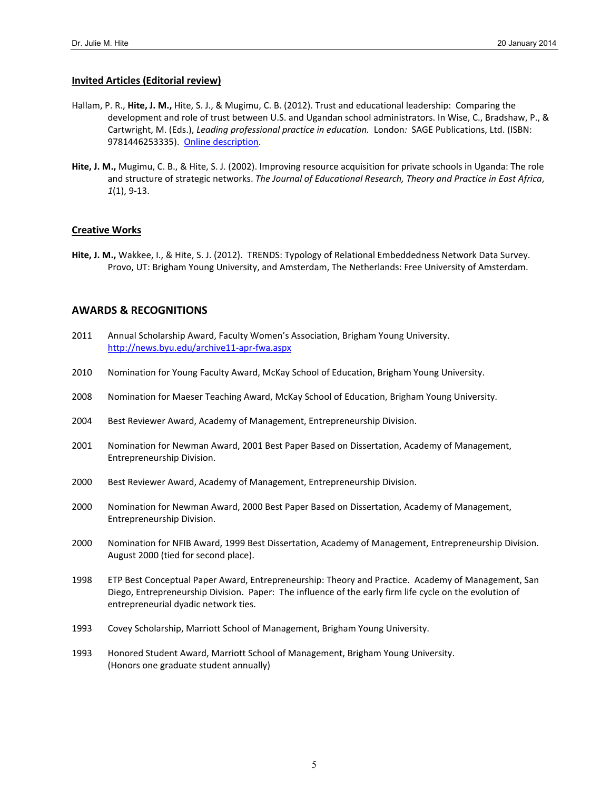#### **Invited Articles (Editorial review)**

- Hallam, P. R., **Hite, J. M.,** Hite, S. J., & Mugimu, C. B. (2012). Trust and educational leadership: Comparing the development and role of trust between U.S. and Ugandan school administrators. In Wise, C., Bradshaw, P., & Cartwright, M. (Eds.), *Leading professional practice in education.* London*:* SAGE Publications, Ltd. (ISBN: 9781446253335). Online description.
- **Hite, J. M.,** Mugimu, C. B., & Hite, S. J. (2002). Improving resource acquisition for private schools in Uganda: The role and structure of strategic networks. *The Journal of Educational Research, Theory and Practice in East Africa*, *1*(1), 9‐13.

#### **Creative Works**

**Hite, J. M.,** Wakkee, I., & Hite, S. J. (2012). TRENDS: Typology of Relational Embeddedness Network Data Survey. Provo, UT: Brigham Young University, and Amsterdam, The Netherlands: Free University of Amsterdam.

### **AWARDS & RECOGNITIONS**

- 2011 Annual Scholarship Award, Faculty Women's Association, Brigham Young University. http://news.byu.edu/archive11‐apr‐fwa.aspx
- 2010 Nomination for Young Faculty Award, McKay School of Education, Brigham Young University.
- 2008 Nomination for Maeser Teaching Award, McKay School of Education, Brigham Young University.
- 2004 Best Reviewer Award, Academy of Management, Entrepreneurship Division.
- 2001 Nomination for Newman Award, 2001 Best Paper Based on Dissertation, Academy of Management, Entrepreneurship Division.
- 2000 Best Reviewer Award, Academy of Management, Entrepreneurship Division.
- 2000 Nomination for Newman Award, 2000 Best Paper Based on Dissertation, Academy of Management, Entrepreneurship Division.
- 2000 Nomination for NFIB Award, 1999 Best Dissertation, Academy of Management, Entrepreneurship Division. August 2000 (tied for second place).
- 1998 ETP Best Conceptual Paper Award, Entrepreneurship: Theory and Practice. Academy of Management, San Diego, Entrepreneurship Division. Paper: The influence of the early firm life cycle on the evolution of entrepreneurial dyadic network ties.
- 1993 Covey Scholarship, Marriott School of Management, Brigham Young University.
- 1993 Honored Student Award, Marriott School of Management, Brigham Young University. (Honors one graduate student annually)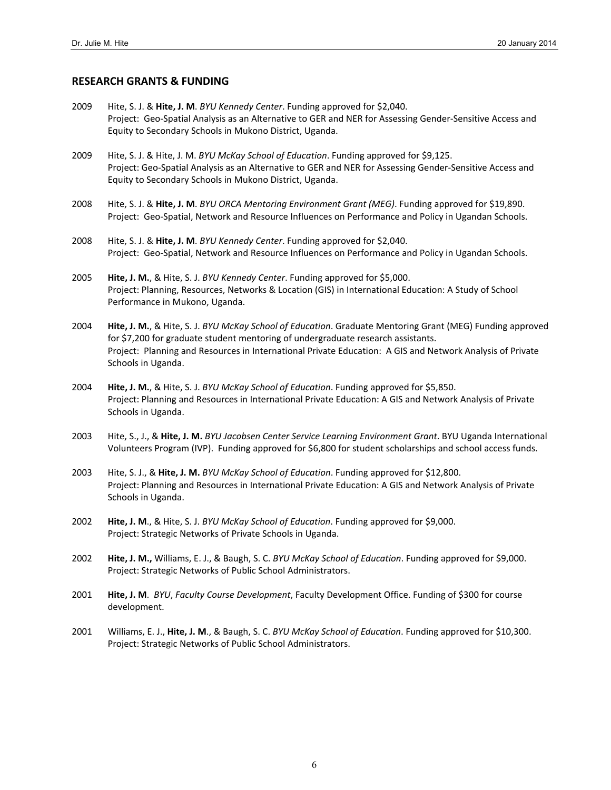#### **RESEARCH GRANTS & FUNDING**

- 2009 Hite, S. J. & **Hite, J. M**. *BYU Kennedy Center*. Funding approved for \$2,040. Project: Geo‐Spatial Analysis as an Alternative to GER and NER for Assessing Gender‐Sensitive Access and Equity to Secondary Schools in Mukono District, Uganda.
- 2009 Hite, S. J. & Hite, J. M. *BYU McKay School of Education*. Funding approved for \$9,125. Project: Geo‐Spatial Analysis as an Alternative to GER and NER for Assessing Gender‐Sensitive Access and Equity to Secondary Schools in Mukono District, Uganda.
- 2008 Hite, S. J. & **Hite, J. M**. *BYU ORCA Mentoring Environment Grant (MEG)*. Funding approved for \$19,890. Project: Geo‐Spatial, Network and Resource Influences on Performance and Policy in Ugandan Schools.
- 2008 Hite, S. J. & **Hite, J. M**. *BYU Kennedy Center*. Funding approved for \$2,040. Project: Geo‐Spatial, Network and Resource Influences on Performance and Policy in Ugandan Schools.
- 2005 **Hite, J. M.**, & Hite, S. J. *BYU Kennedy Center*. Funding approved for \$5,000. Project: Planning, Resources, Networks & Location (GIS) in International Education: A Study of School Performance in Mukono, Uganda.
- 2004 **Hite, J. M.**, & Hite, S. J. *BYU McKay School of Education*. Graduate Mentoring Grant (MEG) Funding approved for \$7,200 for graduate student mentoring of undergraduate research assistants. Project: Planning and Resources in International Private Education: A GIS and Network Analysis of Private Schools in Uganda.
- 2004 **Hite, J. M.**, & Hite, S. J. *BYU McKay School of Education*. Funding approved for \$5,850. Project: Planning and Resources in International Private Education: A GIS and Network Analysis of Private Schools in Uganda.
- 2003 Hite, S., J., & **Hite, J. M.** *BYU Jacobsen Center Service Learning Environment Grant*. BYU Uganda International Volunteers Program (IVP). Funding approved for \$6,800 for student scholarships and school access funds.
- 2003 Hite, S. J., & **Hite, J. M.** *BYU McKay School of Education*. Funding approved for \$12,800. Project: Planning and Resources in International Private Education: A GIS and Network Analysis of Private Schools in Uganda.
- 2002 **Hite, J. M**., & Hite, S. J. *BYU McKay School of Education*. Funding approved for \$9,000. Project: Strategic Networks of Private Schools in Uganda.
- 2002 **Hite, J. M.,** Williams, E. J., & Baugh, S. C. *BYU McKay School of Education*. Funding approved for \$9,000. Project: Strategic Networks of Public School Administrators.
- 2001 **Hite, J. M**. *BYU*, *Faculty Course Development*, Faculty Development Office. Funding of \$300 for course development.
- 2001 Williams, E. J., **Hite, J. M**., & Baugh, S. C. *BYU McKay School of Education*. Funding approved for \$10,300. Project: Strategic Networks of Public School Administrators.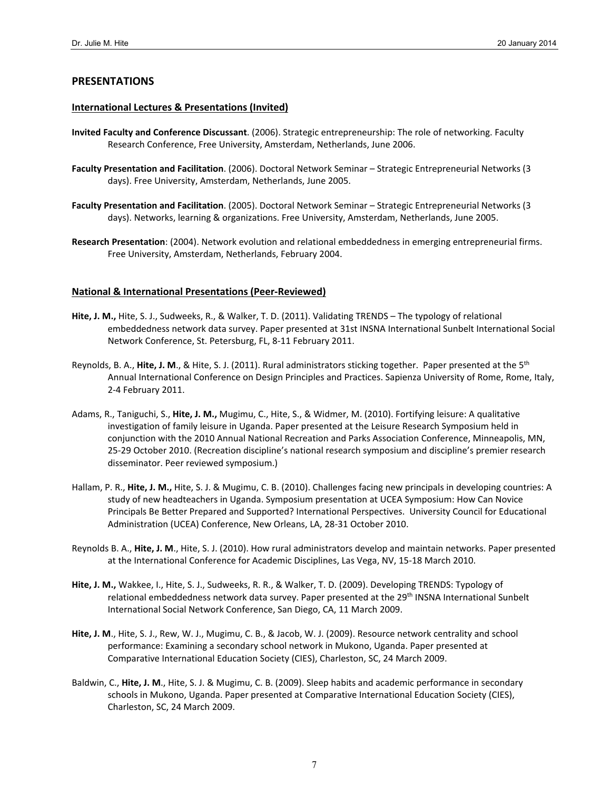### **PRESENTATIONS**

#### **International Lectures & Presentations (Invited)**

- **Invited Faculty and Conference Discussant**. (2006). Strategic entrepreneurship: The role of networking. Faculty Research Conference, Free University, Amsterdam, Netherlands, June 2006.
- **Faculty Presentation and Facilitation**. (2006). Doctoral Network Seminar Strategic Entrepreneurial Networks (3 days). Free University, Amsterdam, Netherlands, June 2005.
- **Faculty Presentation and Facilitation**. (2005). Doctoral Network Seminar Strategic Entrepreneurial Networks (3 days). Networks, learning & organizations. Free University, Amsterdam, Netherlands, June 2005.
- **Research Presentation**: (2004). Network evolution and relational embeddedness in emerging entrepreneurial firms. Free University, Amsterdam, Netherlands, February 2004.

#### **National & International Presentations (Peer‐Reviewed)**

- **Hite, J. M.,** Hite, S. J., Sudweeks, R., & Walker, T. D. (2011). Validating TRENDS The typology of relational embeddedness network data survey. Paper presented at 31st INSNA International Sunbelt International Social Network Conference, St. Petersburg, FL, 8‐11 February 2011.
- Reynolds, B. A., **Hite, J. M**., & Hite, S. J. (2011). Rural administrators sticking together. Paper presented at the 5th Annual International Conference on Design Principles and Practices. Sapienza University of Rome, Rome, Italy, 2‐4 February 2011.
- Adams, R., Taniguchi, S., **Hite, J. M.,** Mugimu, C., Hite, S., & Widmer, M. (2010). Fortifying leisure: A qualitative investigation of family leisure in Uganda. Paper presented at the Leisure Research Symposium held in conjunction with the 2010 Annual National Recreation and Parks Association Conference, Minneapolis, MN, 25‐29 October 2010. (Recreation discipline's national research symposium and discipline's premier research disseminator. Peer reviewed symposium.)
- Hallam, P. R., **Hite, J. M.,** Hite, S. J. & Mugimu, C. B. (2010). Challenges facing new principals in developing countries: A study of new headteachers in Uganda. Symposium presentation at UCEA Symposium: How Can Novice Principals Be Better Prepared and Supported? International Perspectives. University Council for Educational Administration (UCEA) Conference, New Orleans, LA, 28‐31 October 2010.
- Reynolds B. A., **Hite, J. M**., Hite, S. J. (2010). How rural administrators develop and maintain networks. Paper presented at the International Conference for Academic Disciplines, Las Vega, NV, 15‐18 March 2010.
- **Hite, J. M.,** Wakkee, I., Hite, S. J., Sudweeks, R. R., & Walker, T. D. (2009). Developing TRENDS: Typology of relational embeddedness network data survey. Paper presented at the 29<sup>th</sup> INSNA International Sunbelt International Social Network Conference, San Diego, CA, 11 March 2009.
- **Hite, J. M**., Hite, S. J., Rew, W. J., Mugimu, C. B., & Jacob, W. J. (2009). Resource network centrality and school performance: Examining a secondary school network in Mukono, Uganda. Paper presented at Comparative International Education Society (CIES), Charleston, SC, 24 March 2009.
- Baldwin, C., **Hite, J. M**., Hite, S. J. & Mugimu, C. B. (2009). Sleep habits and academic performance in secondary schools in Mukono, Uganda. Paper presented at Comparative International Education Society (CIES), Charleston, SC, 24 March 2009.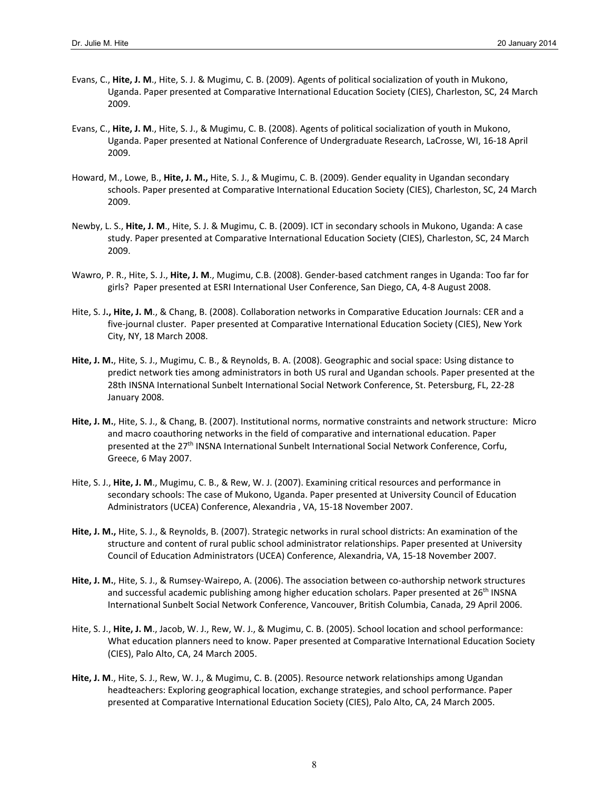- Evans, C., **Hite, J. M**., Hite, S. J. & Mugimu, C. B. (2009). Agents of political socialization of youth in Mukono, Uganda. Paper presented at Comparative International Education Society (CIES), Charleston, SC, 24 March 2009.
- Evans, C., **Hite, J. M**., Hite, S. J., & Mugimu, C. B. (2008). Agents of political socialization of youth in Mukono, Uganda. Paper presented at National Conference of Undergraduate Research, LaCrosse, WI, 16‐18 April 2009.
- Howard, M., Lowe, B., **Hite, J. M.,** Hite, S. J., & Mugimu, C. B. (2009). Gender equality in Ugandan secondary schools. Paper presented at Comparative International Education Society (CIES), Charleston, SC, 24 March 2009.
- Newby, L. S., **Hite, J. M**., Hite, S. J. & Mugimu, C. B. (2009). ICT in secondary schools in Mukono, Uganda: A case study. Paper presented at Comparative International Education Society (CIES), Charleston, SC, 24 March 2009.
- Wawro, P. R., Hite, S. J., **Hite, J. M**., Mugimu, C.B. (2008). Gender‐based catchment ranges in Uganda: Too far for girls? Paper presented at ESRI International User Conference, San Diego, CA, 4‐8 August 2008.
- Hite, S. J**., Hite, J. M**., & Chang, B. (2008). Collaboration networks in Comparative Education Journals: CER and a five-journal cluster. Paper presented at Comparative International Education Society (CIES), New York City, NY, 18 March 2008.
- **Hite, J. M.**, Hite, S. J., Mugimu, C. B., & Reynolds, B. A. (2008). Geographic and social space: Using distance to predict network ties among administrators in both US rural and Ugandan schools. Paper presented at the 28th INSNA International Sunbelt International Social Network Conference, St. Petersburg, FL, 22‐28 January 2008.
- **Hite, J. M.**, Hite, S. J., & Chang, B. (2007). Institutional norms, normative constraints and network structure: Micro and macro coauthoring networks in the field of comparative and international education. Paper presented at the 27th INSNA International Sunbelt International Social Network Conference, Corfu, Greece, 6 May 2007.
- Hite, S. J., **Hite, J. M**., Mugimu, C. B., & Rew, W. J. (2007). Examining critical resources and performance in secondary schools: The case of Mukono, Uganda. Paper presented at University Council of Education Administrators (UCEA) Conference, Alexandria , VA, 15‐18 November 2007.
- **Hite, J. M.,** Hite, S. J., & Reynolds, B. (2007). Strategic networks in rural school districts: An examination of the structure and content of rural public school administrator relationships. Paper presented at University Council of Education Administrators (UCEA) Conference, Alexandria, VA, 15‐18 November 2007.
- **Hite, J. M.**, Hite, S. J., & Rumsey‐Wairepo, A. (2006). The association between co‐authorship network structures and successful academic publishing among higher education scholars. Paper presented at 26<sup>th</sup> INSNA International Sunbelt Social Network Conference, Vancouver, British Columbia, Canada, 29 April 2006.
- Hite, S. J., **Hite, J. M**., Jacob, W. J., Rew, W. J., & Mugimu, C. B. (2005). School location and school performance: What education planners need to know. Paper presented at Comparative International Education Society (CIES), Palo Alto, CA, 24 March 2005.
- **Hite, J. M**., Hite, S. J., Rew, W. J., & Mugimu, C. B. (2005). Resource network relationships among Ugandan headteachers: Exploring geographical location, exchange strategies, and school performance. Paper presented at Comparative International Education Society (CIES), Palo Alto, CA, 24 March 2005.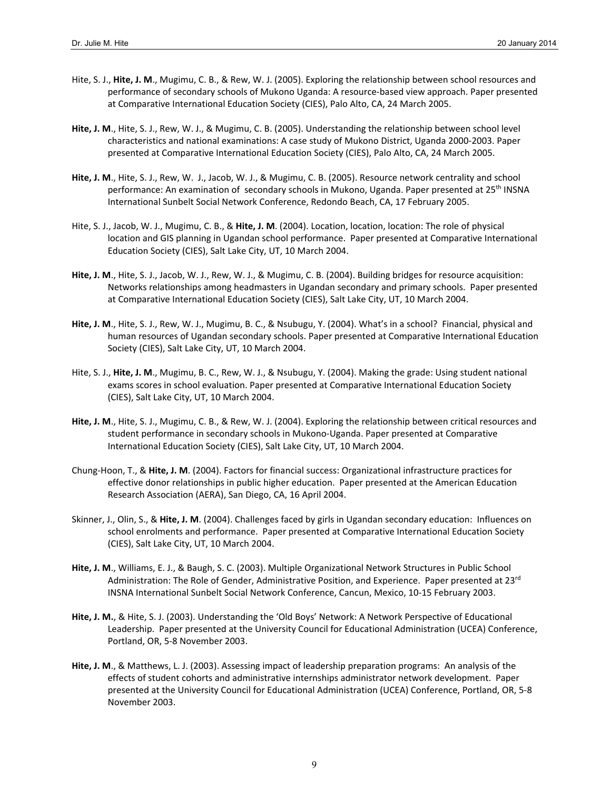- Hite, S. J., **Hite, J. M**., Mugimu, C. B., & Rew, W. J. (2005). Exploring the relationship between school resources and performance of secondary schools of Mukono Uganda: A resource‐based view approach. Paper presented at Comparative International Education Society (CIES), Palo Alto, CA, 24 March 2005.
- **Hite, J. M**., Hite, S. J., Rew, W. J., & Mugimu, C. B. (2005). Understanding the relationship between school level characteristics and national examinations: A case study of Mukono District, Uganda 2000‐2003. Paper presented at Comparative International Education Society (CIES), Palo Alto, CA, 24 March 2005.
- **Hite, J. M**., Hite, S. J., Rew, W. J., Jacob, W. J., & Mugimu, C. B. (2005). Resource network centrality and school performance: An examination of secondary schools in Mukono, Uganda. Paper presented at 25<sup>th</sup> INSNA International Sunbelt Social Network Conference, Redondo Beach, CA, 17 February 2005.
- Hite, S. J., Jacob, W. J., Mugimu, C. B., & **Hite, J. M**. (2004). Location, location, location: The role of physical location and GIS planning in Ugandan school performance. Paper presented at Comparative International Education Society (CIES), Salt Lake City, UT, 10 March 2004.
- **Hite, J. M**., Hite, S. J., Jacob, W. J., Rew, W. J., & Mugimu, C. B. (2004). Building bridges for resource acquisition: Networks relationships among headmasters in Ugandan secondary and primary schools. Paper presented at Comparative International Education Society (CIES), Salt Lake City, UT, 10 March 2004.
- **Hite, J. M**., Hite, S. J., Rew, W. J., Mugimu, B. C., & Nsubugu, Y. (2004). What's in a school? Financial, physical and human resources of Ugandan secondary schools. Paper presented at Comparative International Education Society (CIES), Salt Lake City, UT, 10 March 2004.
- Hite, S. J., **Hite, J. M**., Mugimu, B. C., Rew, W. J., & Nsubugu, Y. (2004). Making the grade: Using student national exams scores in school evaluation. Paper presented at Comparative International Education Society (CIES), Salt Lake City, UT, 10 March 2004.
- **Hite, J. M**., Hite, S. J., Mugimu, C. B., & Rew, W. J. (2004). Exploring the relationship between critical resources and student performance in secondary schools in Mukono‐Uganda. Paper presented at Comparative International Education Society (CIES), Salt Lake City, UT, 10 March 2004.
- Chung‐Hoon, T., & **Hite, J. M**. (2004). Factors for financial success: Organizational infrastructure practices for effective donor relationships in public higher education. Paper presented at the American Education Research Association (AERA), San Diego, CA, 16 April 2004.
- Skinner, J., Olin, S., & **Hite, J. M**. (2004). Challenges faced by girls in Ugandan secondary education: Influences on school enrolments and performance. Paper presented at Comparative International Education Society (CIES), Salt Lake City, UT, 10 March 2004.
- **Hite, J. M**., Williams, E. J., & Baugh, S. C. (2003). Multiple Organizational Network Structures in Public School Administration: The Role of Gender, Administrative Position, and Experience. Paper presented at 23rd INSNA International Sunbelt Social Network Conference, Cancun, Mexico, 10‐15 February 2003.
- **Hite, J. M.**, & Hite, S. J. (2003). Understanding the 'Old Boys' Network: A Network Perspective of Educational Leadership. Paper presented at the University Council for Educational Administration (UCEA) Conference, Portland, OR, 5‐8 November 2003.
- **Hite, J. M**., & Matthews, L. J. (2003). Assessing impact of leadership preparation programs: An analysis of the effects of student cohorts and administrative internships administrator network development. Paper presented at the University Council for Educational Administration (UCEA) Conference, Portland, OR, 5‐8 November 2003.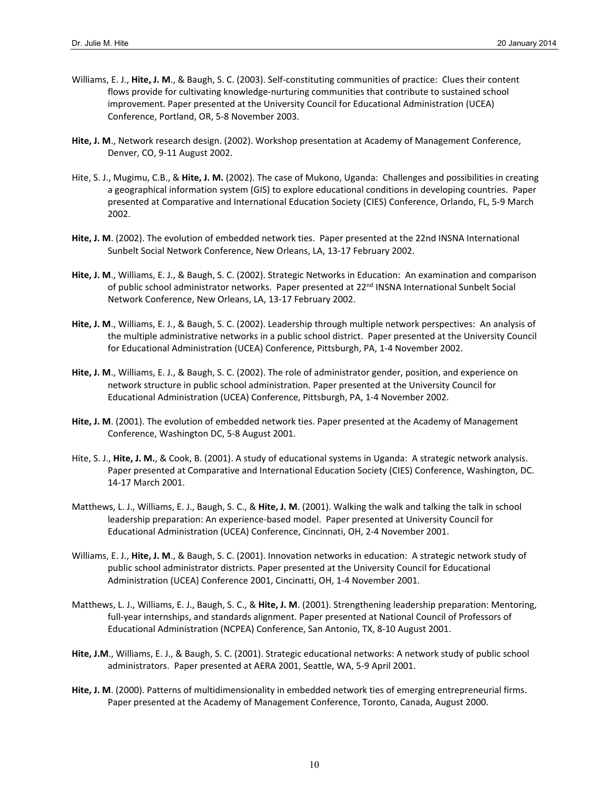- Williams, E. J., **Hite, J. M**., & Baugh, S. C. (2003). Self‐constituting communities of practice: Clues their content flows provide for cultivating knowledge‐nurturing communities that contribute to sustained school improvement. Paper presented at the University Council for Educational Administration (UCEA) Conference, Portland, OR, 5‐8 November 2003.
- **Hite, J. M**., Network research design. (2002). Workshop presentation at Academy of Management Conference, Denver, CO, 9‐11 August 2002.
- Hite, S. J., Mugimu, C.B., & **Hite, J. M.** (2002). The case of Mukono, Uganda: Challenges and possibilities in creating a geographical information system (GIS) to explore educational conditions in developing countries. Paper presented at Comparative and International Education Society (CIES) Conference, Orlando, FL, 5‐9 March 2002.
- **Hite, J. M**. (2002). The evolution of embedded network ties. Paper presented at the 22nd INSNA International Sunbelt Social Network Conference, New Orleans, LA, 13‐17 February 2002.
- **Hite, J. M**., Williams, E. J., & Baugh, S. C. (2002). Strategic Networks in Education: An examination and comparison of public school administrator networks. Paper presented at 22<sup>nd</sup> INSNA International Sunbelt Social Network Conference, New Orleans, LA, 13‐17 February 2002.
- **Hite, J. M**., Williams, E. J., & Baugh, S. C. (2002). Leadership through multiple network perspectives: An analysis of the multiple administrative networks in a public school district. Paper presented at the University Council for Educational Administration (UCEA) Conference, Pittsburgh, PA, 1‐4 November 2002.
- **Hite, J. M**., Williams, E. J., & Baugh, S. C. (2002). The role of administrator gender, position, and experience on network structure in public school administration. Paper presented at the University Council for Educational Administration (UCEA) Conference, Pittsburgh, PA, 1‐4 November 2002.
- **Hite, J. M**. (2001). The evolution of embedded network ties. Paper presented at the Academy of Management Conference, Washington DC, 5‐8 August 2001.
- Hite, S. J., **Hite, J. M.**, & Cook, B. (2001). A study of educational systems in Uganda: A strategic network analysis. Paper presented at Comparative and International Education Society (CIES) Conference, Washington, DC. 14‐17 March 2001.
- Matthews, L. J., Williams, E. J., Baugh, S. C., & **Hite, J. M**. (2001). Walking the walk and talking the talk in school leadership preparation: An experience‐based model. Paper presented at University Council for Educational Administration (UCEA) Conference, Cincinnati, OH, 2‐4 November 2001.
- Williams, E. J., **Hite, J. M**., & Baugh, S. C. (2001). Innovation networks in education: A strategic network study of public school administrator districts. Paper presented at the University Council for Educational Administration (UCEA) Conference 2001, Cincinatti, OH, 1‐4 November 2001.
- Matthews, L. J., Williams, E. J., Baugh, S. C., & **Hite, J. M**. (2001). Strengthening leadership preparation: Mentoring, full-year internships, and standards alignment. Paper presented at National Council of Professors of Educational Administration (NCPEA) Conference, San Antonio, TX, 8‐10 August 2001.
- **Hite, J.M**., Williams, E. J., & Baugh, S. C. (2001). Strategic educational networks: A network study of public school administrators. Paper presented at AERA 2001, Seattle, WA, 5‐9 April 2001.
- **Hite, J. M**. (2000). Patterns of multidimensionality in embedded network ties of emerging entrepreneurial firms. Paper presented at the Academy of Management Conference, Toronto, Canada, August 2000.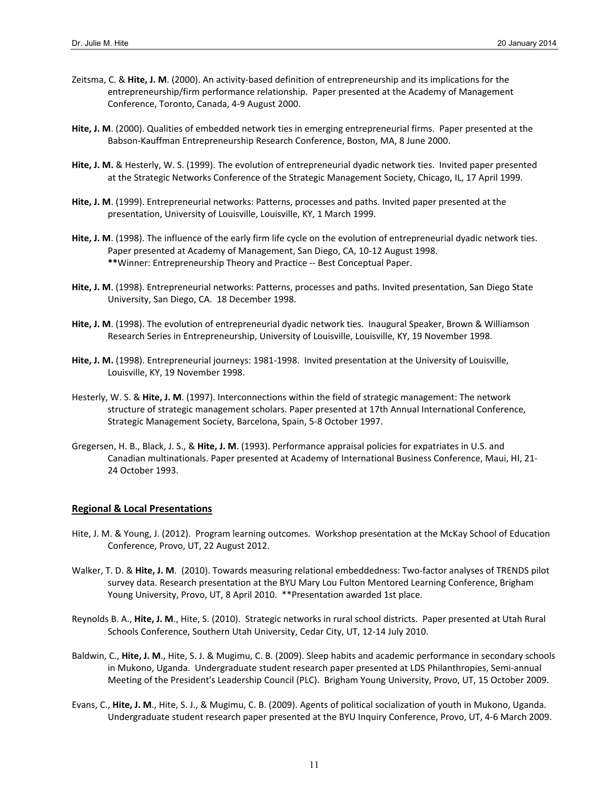- Zeitsma, C. & **Hite, J. M**. (2000). An activity‐based definition of entrepreneurship and its implications for the entrepreneurship/firm performance relationship. Paper presented at the Academy of Management Conference, Toronto, Canada, 4‐9 August 2000.
- **Hite, J. M**. (2000). Qualities of embedded network ties in emerging entrepreneurial firms. Paper presented at the Babson‐Kauffman Entrepreneurship Research Conference, Boston, MA, 8 June 2000.
- **Hite, J. M.** & Hesterly, W. S. (1999). The evolution of entrepreneurial dyadic network ties. Invited paper presented at the Strategic Networks Conference of the Strategic Management Society, Chicago, IL, 17 April 1999.
- **Hite, J. M**. (1999). Entrepreneurial networks: Patterns, processes and paths. Invited paper presented at the presentation, University of Louisville, Louisville, KY, 1 March 1999.
- **Hite, J. M**. (1998). The influence of the early firm life cycle on the evolution of entrepreneurial dyadic network ties. Paper presented at Academy of Management, San Diego, CA, 10‐12 August 1998. **\*\***Winner: Entrepreneurship Theory and Practice ‐‐ Best Conceptual Paper.
- **Hite, J. M**. (1998). Entrepreneurial networks: Patterns, processes and paths. Invited presentation, San Diego State University, San Diego, CA. 18 December 1998.
- **Hite, J. M**. (1998). The evolution of entrepreneurial dyadic network ties. Inaugural Speaker, Brown & Williamson Research Series in Entrepreneurship, University of Louisville, Louisville, KY, 19 November 1998.
- **Hite, J. M.** (1998). Entrepreneurial journeys: 1981‐1998. Invited presentation at the University of Louisville, Louisville, KY, 19 November 1998.
- Hesterly, W. S. & **Hite, J. M**. (1997). Interconnections within the field of strategic management: The network structure of strategic management scholars. Paper presented at 17th Annual International Conference, Strategic Management Society, Barcelona, Spain, 5‐8 October 1997.
- Gregersen, H. B., Black, J. S., & **Hite, J. M**. (1993). Performance appraisal policies for expatriates in U.S. and Canadian multinationals. Paper presented at Academy of International Business Conference, Maui, HI, 21‐ 24 October 1993.

#### **Regional & Local Presentations**

- Hite, J. M. & Young, J. (2012). Program learning outcomes. Workshop presentation at the McKay School of Education Conference, Provo, UT, 22 August 2012.
- Walker, T. D. & Hite, J. M. (2010). Towards measuring relational embeddedness: Two-factor analyses of TRENDS pilot survey data. Research presentation at the BYU Mary Lou Fulton Mentored Learning Conference, Brigham Young University, Provo, UT, 8 April 2010. \*\*Presentation awarded 1st place.
- Reynolds B. A., **Hite, J. M**., Hite, S. (2010). Strategic networks in rural school districts. Paper presented at Utah Rural Schools Conference, Southern Utah University, Cedar City, UT, 12‐14 July 2010.
- Baldwin, C., **Hite, J. M**., Hite, S. J. & Mugimu, C. B. (2009). Sleep habits and academic performance in secondary schools in Mukono, Uganda. Undergraduate student research paper presented at LDS Philanthropies, Semi-annual Meeting of the President's Leadership Council (PLC). Brigham Young University, Provo, UT, 15 October 2009.
- Evans, C., **Hite, J. M**., Hite, S. J., & Mugimu, C. B. (2009). Agents of political socialization of youth in Mukono, Uganda. Undergraduate student research paper presented at the BYU Inquiry Conference, Provo, UT, 4‐6 March 2009.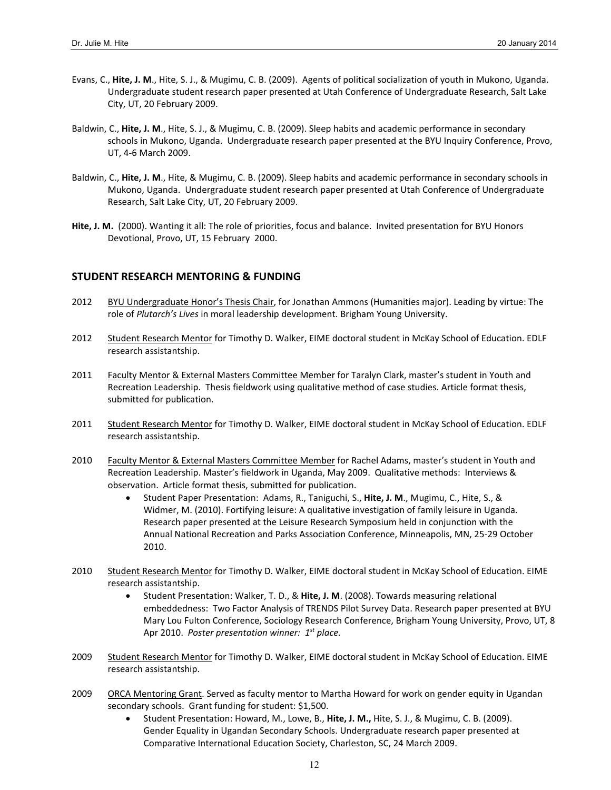- Evans, C., **Hite, J. M**., Hite, S. J., & Mugimu, C. B. (2009). Agents of political socialization of youth in Mukono, Uganda. Undergraduate student research paper presented at Utah Conference of Undergraduate Research, Salt Lake City, UT, 20 February 2009.
- Baldwin, C., **Hite, J. M**., Hite, S. J., & Mugimu, C. B. (2009). Sleep habits and academic performance in secondary schools in Mukono, Uganda. Undergraduate research paper presented at the BYU Inquiry Conference, Provo, UT, 4‐6 March 2009.
- Baldwin, C., **Hite, J. M**., Hite, & Mugimu, C. B. (2009). Sleep habits and academic performance in secondary schools in Mukono, Uganda. Undergraduate student research paper presented at Utah Conference of Undergraduate Research, Salt Lake City, UT, 20 February 2009.
- **Hite, J. M.** (2000). Wanting it all: The role of priorities, focus and balance. Invited presentation for BYU Honors Devotional, Provo, UT, 15 February 2000.

### **STUDENT RESEARCH MENTORING & FUNDING**

- 2012 BYU Undergraduate Honor's Thesis Chair, for Jonathan Ammons (Humanities major). Leading by virtue: The role of *Plutarch's Lives* in moral leadership development. Brigham Young University.
- 2012 Student Research Mentor for Timothy D. Walker, EIME doctoral student in McKay School of Education. EDLF research assistantship.
- 2011 Faculty Mentor & External Masters Committee Member for Taralyn Clark, master's student in Youth and Recreation Leadership. Thesis fieldwork using qualitative method of case studies. Article format thesis, submitted for publication.
- 2011 Student Research Mentor for Timothy D. Walker, EIME doctoral student in McKay School of Education. EDLF research assistantship.
- 2010 Faculty Mentor & External Masters Committee Member for Rachel Adams, master's student in Youth and Recreation Leadership. Master's fieldwork in Uganda, May 2009. Qualitative methods: Interviews & observation. Article format thesis, submitted for publication.
	- Student Paper Presentation: Adams, R., Taniguchi, S., **Hite, J. M**., Mugimu, C., Hite, S., & Widmer, M. (2010). Fortifying leisure: A qualitative investigation of family leisure in Uganda. Research paper presented at the Leisure Research Symposium held in conjunction with the Annual National Recreation and Parks Association Conference, Minneapolis, MN, 25‐29 October 2010.
- 2010 Student Research Mentor for Timothy D. Walker, EIME doctoral student in McKay School of Education. EIME research assistantship.
	- Student Presentation: Walker, T. D., & **Hite, J. M**. (2008). Towards measuring relational embeddedness: Two Factor Analysis of TRENDS Pilot Survey Data. Research paper presented at BYU Mary Lou Fulton Conference, Sociology Research Conference, Brigham Young University, Provo, UT, 8 Apr 2010. *Poster presentation winner: 1st place.*
- 2009 Student Research Mentor for Timothy D. Walker, EIME doctoral student in McKay School of Education. EIME research assistantship.
- 2009 ORCA Mentoring Grant. Served as faculty mentor to Martha Howard for work on gender equity in Ugandan secondary schools. Grant funding for student: \$1,500.
	- Student Presentation: Howard, M., Lowe, B., **Hite, J. M.,** Hite, S. J., & Mugimu, C. B. (2009). Gender Equality in Ugandan Secondary Schools. Undergraduate research paper presented at Comparative International Education Society, Charleston, SC, 24 March 2009.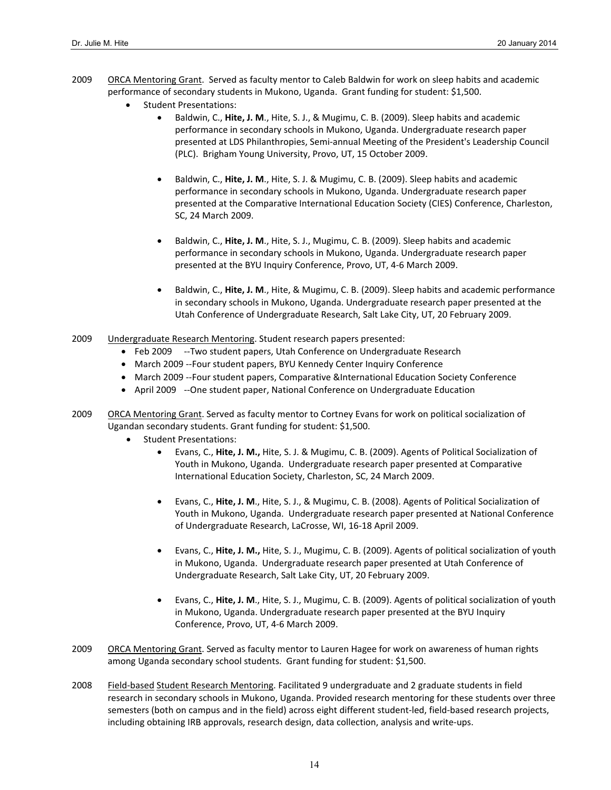- 2009 ORCA Mentoring Grant. Served as faculty mentor to Caleb Baldwin for work on sleep habits and academic performance of secondary students in Mukono, Uganda. Grant funding for student: \$1,500.
	- Student Presentations:
		- Baldwin, C., **Hite, J. M**., Hite, S. J., & Mugimu, C. B. (2009). Sleep habits and academic performance in secondary schools in Mukono, Uganda. Undergraduate research paper presented at LDS Philanthropies, Semi‐annual Meeting of the President's Leadership Council (PLC). Brigham Young University, Provo, UT, 15 October 2009.
		- Baldwin, C., **Hite, J. M**., Hite, S. J. & Mugimu, C. B. (2009). Sleep habits and academic performance in secondary schools in Mukono, Uganda. Undergraduate research paper presented at the Comparative International Education Society (CIES) Conference, Charleston, SC, 24 March 2009.
		- Baldwin, C., **Hite, J. M**., Hite, S. J., Mugimu, C. B. (2009). Sleep habits and academic performance in secondary schools in Mukono, Uganda. Undergraduate research paper presented at the BYU Inquiry Conference, Provo, UT, 4‐6 March 2009.
		- Baldwin, C., **Hite, J. M**., Hite, & Mugimu, C. B. (2009). Sleep habits and academic performance in secondary schools in Mukono, Uganda. Undergraduate research paper presented at the Utah Conference of Undergraduate Research, Salt Lake City, UT, 20 February 2009.
- 2009 Undergraduate Research Mentoring. Student research papers presented:
	- Feb 2009 --Two student papers, Utah Conference on Undergraduate Research
	- March 2009 --Four student papers, BYU Kennedy Center Inquiry Conference
	- March 2009 --Four student papers, Comparative &International Education Society Conference
	- April 2009 --One student paper, National Conference on Undergraduate Education
- 2009 ORCA Mentoring Grant. Served as faculty mentor to Cortney Evans for work on political socialization of Ugandan secondary students. Grant funding for student: \$1,500.
	- Student Presentations:
		- Evans, C., **Hite, J. M.,** Hite, S. J. & Mugimu, C. B. (2009). Agents of Political Socialization of Youth in Mukono, Uganda. Undergraduate research paper presented at Comparative International Education Society, Charleston, SC, 24 March 2009.
		- Evans, C., **Hite, J. M**., Hite, S. J., & Mugimu, C. B. (2008). Agents of Political Socialization of Youth in Mukono, Uganda. Undergraduate research paper presented at National Conference of Undergraduate Research, LaCrosse, WI, 16‐18 April 2009.
		- Evans, C., **Hite, J. M.,** Hite, S. J., Mugimu, C. B. (2009). Agents of political socialization of youth in Mukono, Uganda. Undergraduate research paper presented at Utah Conference of Undergraduate Research, Salt Lake City, UT, 20 February 2009.
		- Evans, C., **Hite, J. M**., Hite, S. J., Mugimu, C. B. (2009). Agents of political socialization of youth in Mukono, Uganda. Undergraduate research paper presented at the BYU Inquiry Conference, Provo, UT, 4‐6 March 2009.
- 2009 ORCA Mentoring Grant. Served as faculty mentor to Lauren Hagee for work on awareness of human rights among Uganda secondary school students. Grant funding for student: \$1,500.
- 2008 Field-based Student Research Mentoring. Facilitated 9 undergraduate and 2 graduate students in field research in secondary schools in Mukono, Uganda. Provided research mentoring for these students over three semesters (both on campus and in the field) across eight different student‐led, field‐based research projects, including obtaining IRB approvals, research design, data collection, analysis and write‐ups.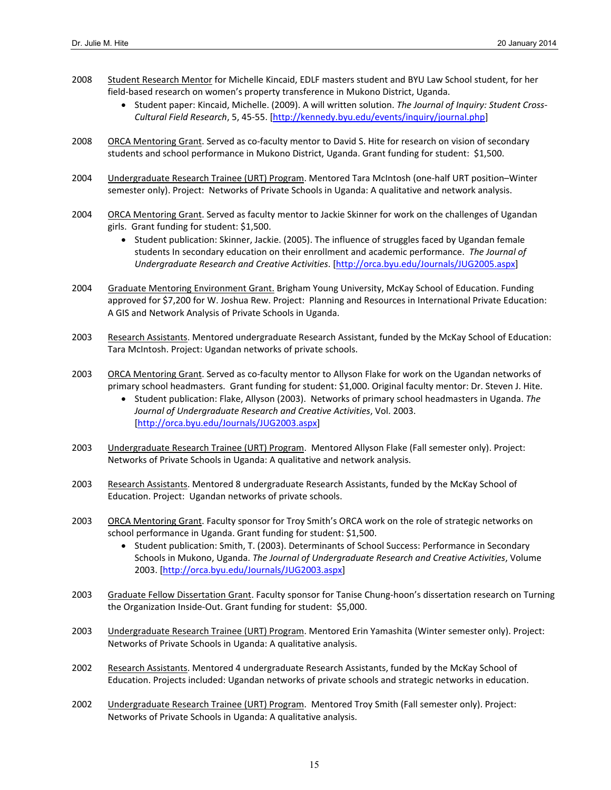- 2008 Student Research Mentor for Michelle Kincaid, EDLF masters student and BYU Law School student, for her field-based research on women's property transference in Mukono District, Uganda.
	- Student paper: Kincaid, Michelle. (2009). A will written solution. *The Journal of Inquiry: Student Cross‐ Cultural Field Research*, 5, 45‐55. [http://kennedy.byu.edu/events/inquiry/journal.php]
- 2008 ORCA Mentoring Grant. Served as co-faculty mentor to David S. Hite for research on vision of secondary students and school performance in Mukono District, Uganda. Grant funding for student: \$1,500.
- 2004 Undergraduate Research Trainee (URT) Program. Mentored Tara McIntosh (one-half URT position-Winter semester only). Project: Networks of Private Schools in Uganda: A qualitative and network analysis.
- 2004 ORCA Mentoring Grant. Served as faculty mentor to Jackie Skinner for work on the challenges of Ugandan girls. Grant funding for student: \$1,500.
	- Student publication: Skinner, Jackie. (2005). The influence of struggles faced by Ugandan female students In secondary education on their enrollment and academic performance. *The Journal of Undergraduate Research and Creative Activities*. [http://orca.byu.edu/Journals/JUG2005.aspx]
- 2004 Graduate Mentoring Environment Grant. Brigham Young University, McKay School of Education. Funding approved for \$7,200 for W. Joshua Rew. Project: Planning and Resources in International Private Education: A GIS and Network Analysis of Private Schools in Uganda.
- 2003 Research Assistants. Mentored undergraduate Research Assistant, funded by the McKay School of Education: Tara McIntosh. Project: Ugandan networks of private schools.
- 2003 ORCA Mentoring Grant. Served as co-faculty mentor to Allyson Flake for work on the Ugandan networks of primary school headmasters. Grant funding for student: \$1,000. Original faculty mentor: Dr. Steven J. Hite.
	- Student publication: Flake, Allyson (2003). Networks of primary school headmasters in Uganda. *The Journal of Undergraduate Research and Creative Activities*, Vol. 2003. [http://orca.byu.edu/Journals/JUG2003.aspx]
- 2003 Undergraduate Research Trainee (URT) Program. Mentored Allyson Flake (Fall semester only). Project: Networks of Private Schools in Uganda: A qualitative and network analysis.
- 2003 Research Assistants. Mentored 8 undergraduate Research Assistants, funded by the McKay School of Education. Project: Ugandan networks of private schools.
- 2003 ORCA Mentoring Grant. Faculty sponsor for Troy Smith's ORCA work on the role of strategic networks on school performance in Uganda. Grant funding for student: \$1,500.
	- Student publication: Smith, T. (2003). Determinants of School Success: Performance in Secondary Schools in Mukono, Uganda. *The Journal of Undergraduate Research and Creative Activities*, Volume 2003. [http://orca.byu.edu/Journals/JUG2003.aspx]
- 2003 Graduate Fellow Dissertation Grant. Faculty sponsor for Tanise Chung-hoon's dissertation research on Turning the Organization Inside-Out. Grant funding for student: \$5,000.
- 2003 Undergraduate Research Trainee (URT) Program. Mentored Erin Yamashita (Winter semester only). Project: Networks of Private Schools in Uganda: A qualitative analysis.
- 2002 Research Assistants. Mentored 4 undergraduate Research Assistants, funded by the McKay School of Education. Projects included: Ugandan networks of private schools and strategic networks in education.
- 2002 Undergraduate Research Trainee (URT) Program. Mentored Troy Smith (Fall semester only). Project: Networks of Private Schools in Uganda: A qualitative analysis.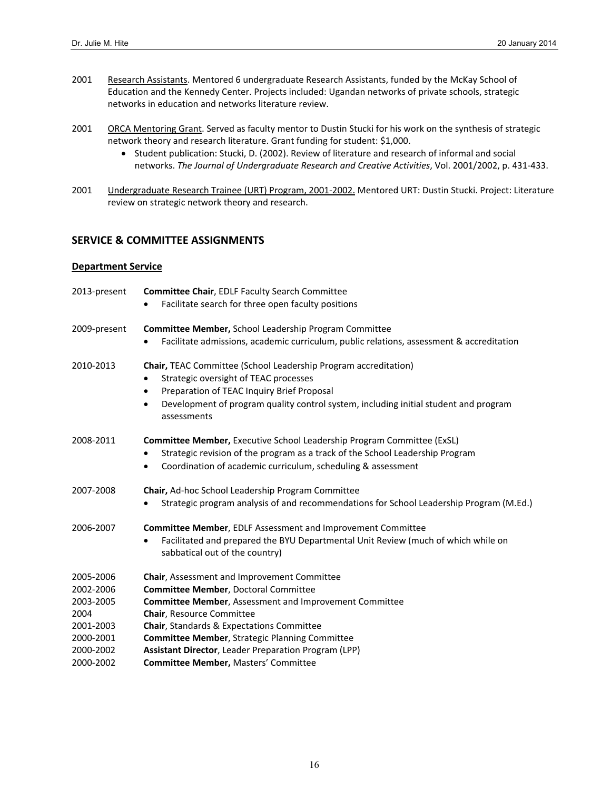- 2001 Research Assistants. Mentored 6 undergraduate Research Assistants, funded by the McKay School of Education and the Kennedy Center. Projects included: Ugandan networks of private schools, strategic networks in education and networks literature review.
- 2001 ORCA Mentoring Grant. Served as faculty mentor to Dustin Stucki for his work on the synthesis of strategic network theory and research literature. Grant funding for student: \$1,000.
	- Student publication: Stucki, D. (2002). Review of literature and research of informal and social networks. *The Journal of Undergraduate Research and Creative Activities*, Vol. 2001/2002, p. 431‐433.
- 2001 Undergraduate Research Trainee (URT) Program, 2001-2002. Mentored URT: Dustin Stucki. Project: Literature review on strategic network theory and research.

### **SERVICE & COMMITTEE ASSIGNMENTS**

#### **Department Service**

| 2013-present | <b>Committee Chair, EDLF Faculty Search Committee</b>                                                               |
|--------------|---------------------------------------------------------------------------------------------------------------------|
|              | Facilitate search for three open faculty positions                                                                  |
| 2009-present | Committee Member, School Leadership Program Committee                                                               |
|              | Facilitate admissions, academic curriculum, public relations, assessment & accreditation                            |
| 2010-2013    | Chair, TEAC Committee (School Leadership Program accreditation)                                                     |
|              | Strategic oversight of TEAC processes                                                                               |
|              | Preparation of TEAC Inquiry Brief Proposal<br>٠                                                                     |
|              | Development of program quality control system, including initial student and program<br>$\bullet$<br>assessments    |
| 2008-2011    | Committee Member, Executive School Leadership Program Committee (ExSL)                                              |
|              | Strategic revision of the program as a track of the School Leadership Program                                       |
|              | Coordination of academic curriculum, scheduling & assessment<br>$\bullet$                                           |
| 2007-2008    | Chair, Ad-hoc School Leadership Program Committee                                                                   |
|              | Strategic program analysis of and recommendations for School Leadership Program (M.Ed.)                             |
| 2006-2007    | <b>Committee Member, EDLF Assessment and Improvement Committee</b>                                                  |
|              | Facilitated and prepared the BYU Departmental Unit Review (much of which while on<br>sabbatical out of the country) |
| 2005-2006    | Chair, Assessment and Improvement Committee                                                                         |
| 2002-2006    | <b>Committee Member, Doctoral Committee</b>                                                                         |
| 2003-2005    | <b>Committee Member, Assessment and Improvement Committee</b>                                                       |
| 2004         | Chair, Resource Committee                                                                                           |
| 2001-2003    | Chair, Standards & Expectations Committee                                                                           |
| 2000-2001    | <b>Committee Member, Strategic Planning Committee</b>                                                               |
| 2000-2002    | <b>Assistant Director, Leader Preparation Program (LPP)</b>                                                         |
| 2000-2002    | <b>Committee Member, Masters' Committee</b>                                                                         |
|              |                                                                                                                     |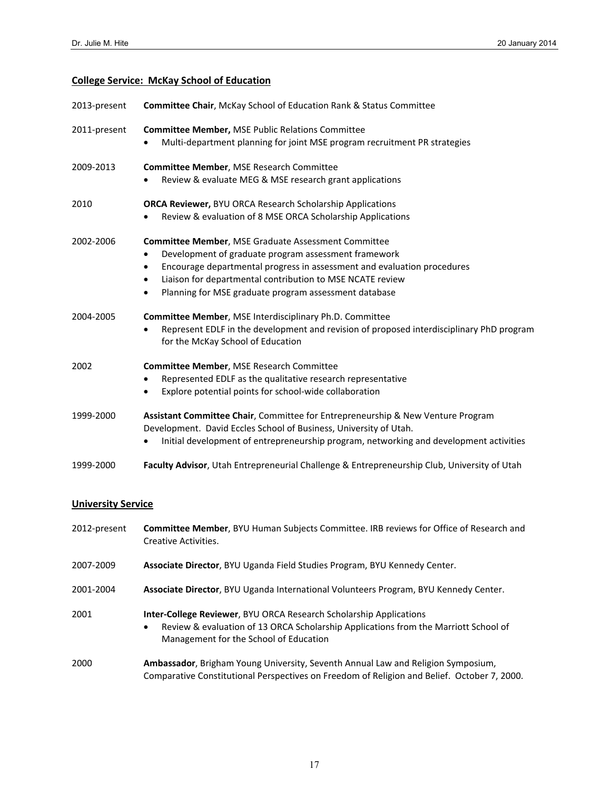# **College Service: McKay School of Education**

| 2013-present              | Committee Chair, McKay School of Education Rank & Status Committee                                                                                                                                                                                                                                                                                                      |
|---------------------------|-------------------------------------------------------------------------------------------------------------------------------------------------------------------------------------------------------------------------------------------------------------------------------------------------------------------------------------------------------------------------|
| 2011-present              | <b>Committee Member, MSE Public Relations Committee</b><br>Multi-department planning for joint MSE program recruitment PR strategies                                                                                                                                                                                                                                    |
| 2009-2013                 | <b>Committee Member, MSE Research Committee</b><br>Review & evaluate MEG & MSE research grant applications                                                                                                                                                                                                                                                              |
| 2010                      | ORCA Reviewer, BYU ORCA Research Scholarship Applications<br>Review & evaluation of 8 MSE ORCA Scholarship Applications                                                                                                                                                                                                                                                 |
| 2002-2006                 | <b>Committee Member, MSE Graduate Assessment Committee</b><br>Development of graduate program assessment framework<br>$\bullet$<br>Encourage departmental progress in assessment and evaluation procedures<br>$\bullet$<br>Liaison for departmental contribution to MSE NCATE review<br>$\bullet$<br>Planning for MSE graduate program assessment database<br>$\bullet$ |
| 2004-2005                 | Committee Member, MSE Interdisciplinary Ph.D. Committee<br>Represent EDLF in the development and revision of proposed interdisciplinary PhD program<br>for the McKay School of Education                                                                                                                                                                                |
| 2002                      | Committee Member, MSE Research Committee<br>Represented EDLF as the qualitative research representative<br>٠<br>Explore potential points for school-wide collaboration<br>$\bullet$                                                                                                                                                                                     |
| 1999-2000                 | Assistant Committee Chair, Committee for Entrepreneurship & New Venture Program<br>Development. David Eccles School of Business, University of Utah.<br>Initial development of entrepreneurship program, networking and development activities                                                                                                                          |
| 1999-2000                 | Faculty Advisor, Utah Entrepreneurial Challenge & Entrepreneurship Club, University of Utah                                                                                                                                                                                                                                                                             |
| <b>University Service</b> |                                                                                                                                                                                                                                                                                                                                                                         |

| 2012-present | <b>Committee Member, BYU Human Subjects Committee. IRB reviews for Office of Research and</b><br>Creative Activities.                                                                                           |
|--------------|-----------------------------------------------------------------------------------------------------------------------------------------------------------------------------------------------------------------|
| 2007-2009    | Associate Director, BYU Uganda Field Studies Program, BYU Kennedy Center.                                                                                                                                       |
| 2001-2004    | Associate Director, BYU Uganda International Volunteers Program, BYU Kennedy Center.                                                                                                                            |
| 2001         | <b>Inter-College Reviewer, BYU ORCA Research Scholarship Applications</b><br>Review & evaluation of 13 ORCA Scholarship Applications from the Marriott School of<br>٠<br>Management for the School of Education |
| 2000         | Ambassador, Brigham Young University, Seventh Annual Law and Religion Symposium,<br>Comparative Constitutional Perspectives on Freedom of Religion and Belief. October 7, 2000.                                 |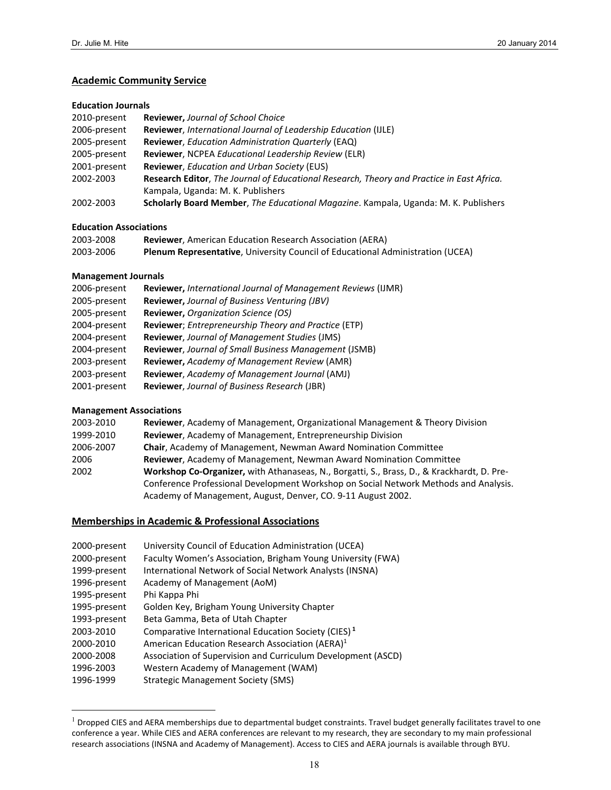#### **Academic Community Service**

#### **Education Journals**

| 2010-present | <b>Reviewer, Journal of School Choice</b>                                                 |
|--------------|-------------------------------------------------------------------------------------------|
| 2006-present | <b>Reviewer, International Journal of Leadership Education (IJLE)</b>                     |
| 2005-present | Reviewer, Education Administration Quarterly (EAQ)                                        |
| 2005-present | <b>Reviewer, NCPEA Educational Leadership Review (ELR)</b>                                |
| 2001-present | <b>Reviewer, Education and Urban Society (EUS)</b>                                        |
| 2002-2003    | Research Editor, The Journal of Educational Research, Theory and Practice in East Africa. |
|              | Kampala, Uganda: M. K. Publishers                                                         |
| 2002-2003    | Scholarly Board Member, The Educational Magazine. Kampala, Uganda: M. K. Publishers       |

#### **Education Associations**

| 2003-2008 | <b>Reviewer, American Education Research Association (AERA)</b>                       |
|-----------|---------------------------------------------------------------------------------------|
| 2003-2006 | <b>Plenum Representative, University Council of Educational Administration (UCEA)</b> |

#### **Management Journals**

| 2006-present | Reviewer, International Journal of Management Reviews (IJMR) |
|--------------|--------------------------------------------------------------|
| 2005-present | Reviewer, Journal of Business Venturing (JBV)                |
| 2005-present | Reviewer, Organization Science (OS)                          |
| 2004-present | Reviewer; Entrepreneurship Theory and Practice (ETP)         |
| 2004-present | Reviewer, Journal of Management Studies (JMS)                |
| 2004-present | Reviewer, Journal of Small Business Management (JSMB)        |
| 2003-present | <b>Reviewer, Academy of Management Review (AMR)</b>          |
| 2003-present | Reviewer, Academy of Management Journal (AMJ)                |
| 2001-present | Reviewer, Journal of Business Research (JBR)                 |

#### **Management Associations**

 $\overline{a}$ 

| 2003-2010 | <b>Reviewer, Academy of Management, Organizational Management &amp; Theory Division</b>           |
|-----------|---------------------------------------------------------------------------------------------------|
| 1999-2010 | Reviewer, Academy of Management, Entrepreneurship Division                                        |
| 2006-2007 | Chair, Academy of Management, Newman Award Nomination Committee                                   |
| 2006      | <b>Reviewer, Academy of Management, Newman Award Nomination Committee</b>                         |
| 2002      | <b>Workshop Co-Organizer,</b> with Athanaseas, N., Borgatti, S., Brass, D., & Krackhardt, D. Pre- |
|           | Conference Professional Development Workshop on Social Network Methods and Analysis.              |
|           | Academy of Management, August, Denver, CO. 9-11 August 2002.                                      |

### **Memberships in Academic & Professional Associations**

| 2000-present | University Council of Education Administration (UCEA)           |
|--------------|-----------------------------------------------------------------|
| 2000-present | Faculty Women's Association, Brigham Young University (FWA)     |
| 1999-present | International Network of Social Network Analysts (INSNA)        |
| 1996-present | Academy of Management (AoM)                                     |
| 1995-present | Phi Kappa Phi                                                   |
| 1995-present | Golden Key, Brigham Young University Chapter                    |
| 1993-present | Beta Gamma, Beta of Utah Chapter                                |
| 2003-2010    | Comparative International Education Society (CIES) <sup>1</sup> |
| 2000-2010    | American Education Research Association (AERA) <sup>1</sup>     |
| 2000-2008    | Association of Supervision and Curriculum Development (ASCD)    |
| 1996-2003    | Western Academy of Management (WAM)                             |
| 1996-1999    | <b>Strategic Management Society (SMS)</b>                       |

 Dropped CIES and AERA memberships due to departmental budget constraints. Travel budget generally facilitates travel to one conference a year. While CIES and AERA conferences are relevant to my research, they are secondary to my main professional research associations (INSNA and Academy of Management). Access to CIES and AERA journals is available through BYU.